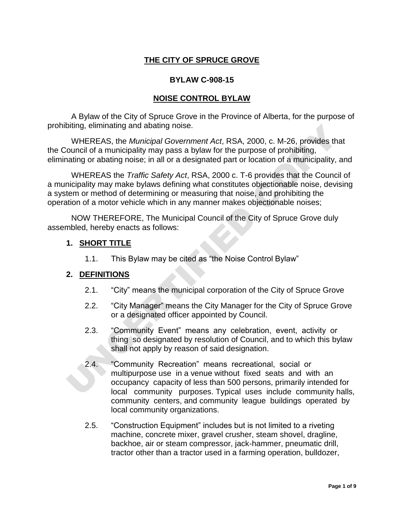### **THE CITY OF SPRUCE GROVE**

#### **BYLAW C-908-15**

#### **NOISE CONTROL BYLAW**

A Bylaw of the City of Spruce Grove in the Province of Alberta, for the purpose of prohibiting, eliminating and abating noise.

WHEREAS, the *Municipal Government Act*, RSA, 2000, c. M-26, provides that the Council of a municipality may pass a bylaw for the purpose of prohibiting, eliminating or abating noise; in all or a designated part or location of a municipality, and

biting, eliminating and abating noise.<br>
WHEREAS, the Municipal Government Act, RSA, 2000, c. M-26, provides that<br>
uncercolorid of a municipality may pass a bylaw for the purpose of prohibiting,<br>
nating or abating proise; i WHEREAS the *Traffic Safety Act*, RSA, 2000 c. T-6 provides that the Council of a municipality may make bylaws defining what constitutes objectionable noise, devising a system or method of determining or measuring that noise, and prohibiting the operation of a motor vehicle which in any manner makes objectionable noises;

NOW THEREFORE, The Municipal Council of the City of Spruce Grove duly assembled, hereby enacts as follows:

#### **1. SHORT TITLE**

1.1. This Bylaw may be cited as "the Noise Control Bylaw"

#### **2. DEFINITIONS**

- 2.1. "City" means the municipal corporation of the City of Spruce Grove
- 2.2. "City Manager" means the City Manager for the City of Spruce Grove or a designated officer appointed by Council.
- 2.3. "Community Event" means any celebration, event, activity or thing so designated by resolution of Council, and to which this bylaw shall not apply by reason of said designation.
- 2.4. "Community Recreation" means recreational, social or multipurpose use in a venue without fixed seats and with an occupancy capacity of less than 500 persons, primarily intended for local community purposes. Typical uses include community halls, community centers, and community league buildings operated by local community organizations.
- 2.5. "Construction Equipment" includes but is not limited to a riveting machine, concrete mixer, gravel crusher, steam shovel, dragline, backhoe, air or steam compressor, jack-hammer, pneumatic drill, tractor other than a tractor used in a farming operation, bulldozer,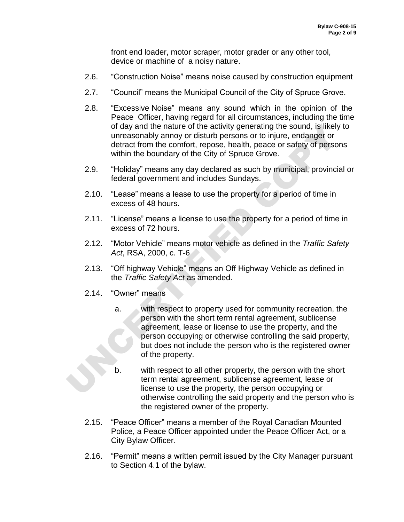front end loader, motor scraper, motor grader or any other tool, device or machine of a noisy nature.

- 2.6. "Construction Noise" means noise caused by construction equipment
- 2.7. "Council" means the Municipal Council of the City of Spruce Grove.
- 2.8. "Excessive Noise" means any sound which in the opinion of the Peace Officer, having regard for all circumstances, including the time of day and the nature of the activity generating the sound, is likely to unreasonably annoy or disturb persons or to injure, endanger or detract from the comfort, repose, health, peace or safety of persons within the boundary of the City of Spruce Grove.
- 2.9. "Holiday" means any day declared as such by municipal, provincial or federal government and includes Sundays.
- 2.10. "Lease" means a lease to use the property for a period of time in excess of 48 hours.
- 2.11. "License" means a license to use the property for a period of time in excess of 72 hours.
- 2.12. "Motor Vehicle" means motor vehicle as defined in the *Traffic Safety Act*, RSA, 2000, c. T-6
- 2.13. "Off highway Vehicle" means an Off Highway Vehicle as defined in the *Traffic Safety Act* as amended.
- 2.14. "Owner" means
- of day and the nature of the activity generating the sound, is likely to derive unreasonably amony or disturb persons or to injure, endanger or detract from the comfort, repose, health, peace or safety of persons within th a. with respect to property used for community recreation, the person with the short term rental agreement, sublicense agreement, lease or license to use the property, and the person occupying or otherwise controlling the said property, but does not include the person who is the registered owner of the property.
	- with respect to all other property, the person with the short term rental agreement, sublicense agreement, lease or license to use the property, the person occupying or otherwise controlling the said property and the person who is the registered owner of the property.
	- 2.15. "Peace Officer" means a member of the Royal Canadian Mounted Police, a Peace Officer appointed under the Peace Officer Act, or a City Bylaw Officer.
	- 2.16. "Permit" means a written permit issued by the City Manager pursuant to Section 4.1 of the bylaw.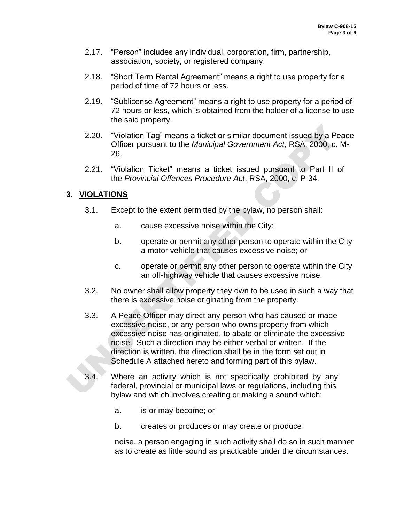- 2.17. "Person" includes any individual, corporation, firm, partnership, association, society, or registered company.
- 2.18. "Short Term Rental Agreement" means a right to use property for a period of time of 72 hours or less.
- 2.19. "Sublicense Agreement" means a right to use property for a period of 72 hours or less, which is obtained from the holder of a license to use the said property.
- 2.20. "Violation Tag" means a ticket or similar document issued by a Peace Officer pursuant to the *Municipal Government Act*, RSA, 2000, c. M-26.
- 2.21. "Violation Ticket" means a ticket issued pursuant to Part II of the *Provincial Offences Procedure Act*, RSA, 2000, c. P-34.

## **3. VIOLATIONS**

- 3.1. Except to the extent permitted by the bylaw, no person shall:
	- a. cause excessive noise within the City;
	- b. operate or permit any other person to operate within the City a motor vehicle that causes excessive noise; or
	- c. operate or permit any other person to operate within the City an off-highway vehicle that causes excessive noise.
- 3.2. No owner shall allow property they own to be used in such a way that there is excessive noise originating from the property.
- 2.20. "Violation Tag" means a ticket or similar document issued by a Pea<br>
2.21. "Violation Ticket" means a ticket issued pursuant to Part II of<br>
26.<br>
2.21. "Violation Ticket" means a ticket issued pursuant to Part II of<br> 3.3. A Peace Officer may direct any person who has caused or made excessive noise, or any person who owns property from which excessive noise has originated, to abate or eliminate the excessive noise. Such a direction may be either verbal or written. If the direction is written, the direction shall be in the form set out in Schedule A attached hereto and forming part of this bylaw.
	- 3.4. Where an activity which is not specifically prohibited by any federal, provincial or municipal laws or regulations, including this bylaw and which involves creating or making a sound which:
		- a. is or may become; or
		- b. creates or produces or may create or produce

noise, a person engaging in such activity shall do so in such manner as to create as little sound as practicable under the circumstances.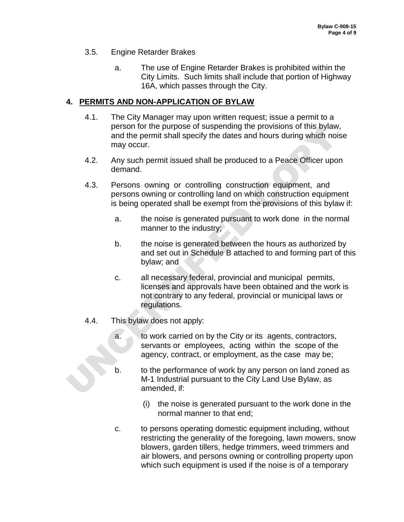- 3.5. Engine Retarder Brakes
	- a. The use of Engine Retarder Brakes is prohibited within the City Limits. Such limits shall include that portion of Highway 16A, which passes through the City.

#### **4. PERMITS AND NON-APPLICATION OF BYLAW**

- 4.1. The City Manager may upon written request; issue a permit to a person for the purpose of suspending the provisions of this bylaw, and the permit shall specify the dates and hours during which noise may occur.
- 4.2. Any such permit issued shall be produced to a Peace Officer upon demand.
- 4.3. Persons owning or controlling construction equipment, and persons owning or controlling land on which construction equipment is being operated shall be exempt from the provisions of this bylaw if:
	- a. the noise is generated pursuant to work done in the normal manner to the industry;
	- b. the noise is generated between the hours as authorized by and set out in Schedule B attached to and forming part of this bylaw; and
- extrained the purpose of suspending the provisions of this bylaw,<br>and the permit shall specify the dates and hours during which noise<br>may occur.<br>4.2. Any such permit issued shall be produced to a Peace Officer upon<br>demand. c. all necessary federal, provincial and municipal permits, licenses and approvals have been obtained and the work is not contrary to any federal, provincial or municipal laws or regulations.
	- 4.4. This bylaw does not apply:
		- a. to work carried on by the City or its agents, contractors, servants or employees, acting within the scope of the agency, contract, or employment, as the case may be;
		- b. to the performance of work by any person on land zoned as M-1 Industrial pursuant to the City Land Use Bylaw, as amended, if:
			- (i) the noise is generated pursuant to the work done in the normal manner to that end;
		- c. to persons operating domestic equipment including, without restricting the generality of the foregoing, lawn mowers, snow blowers, garden tillers, hedge trimmers, weed trimmers and air blowers, and persons owning or controlling property upon which such equipment is used if the noise is of a temporary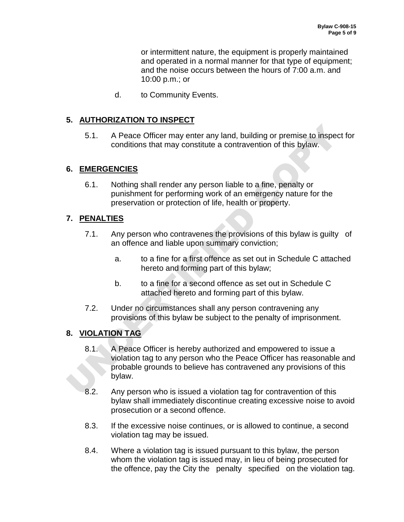or intermittent nature, the equipment is properly maintained and operated in a normal manner for that type of equipment; and the noise occurs between the hours of 7:00 a.m. and 10:00 p.m.; or

d. to Community Events.

### **5. AUTHORIZATION TO INSPECT**

5.1. A Peace Officer may enter any land, building or premise to inspect for conditions that may constitute a contravention of this bylaw.

### **6. EMERGENCIES**

6.1. Nothing shall render any person liable to a fine, penalty or punishment for performing work of an emergency nature for the preservation or protection of life, health or property.

## **7. PENALTIES**

- 7.1. Any person who contravenes the provisions of this bylaw is guilty of an offence and liable upon summary conviction;
	- a. to a fine for a first offence as set out in Schedule C attached hereto and forming part of this bylaw;
	- b. to a fine for a second offence as set out in Schedule C attached hereto and forming part of this bylaw.
- 7.2. Under no circumstances shall any person contravening any provisions of this bylaw be subject to the penalty of imprisonment.

## **8. VIOLATION TAG**

- 5.1. A Peace Officer may enter any land, building or premise to inspect<br>conditions that may constitute a contravention of this bylaw.<br>
6. EMERGENCIES<br>
6.1. Nothing shall render any person liable to a fine, penalty or<br>
puni 8.1. A Peace Officer is hereby authorized and empowered to issue a violation tag to any person who the Peace Officer has reasonable and probable grounds to believe has contravened any provisions of this bylaw.
	- 8.2. Any person who is issued a violation tag for contravention of this bylaw shall immediately discontinue creating excessive noise to avoid prosecution or a second offence.
	- 8.3. If the excessive noise continues, or is allowed to continue, a second violation tag may be issued.
	- 8.4. Where a violation tag is issued pursuant to this bylaw, the person whom the violation tag is issued may, in lieu of being prosecuted for the offence, pay the City the penalty specified on the violation tag.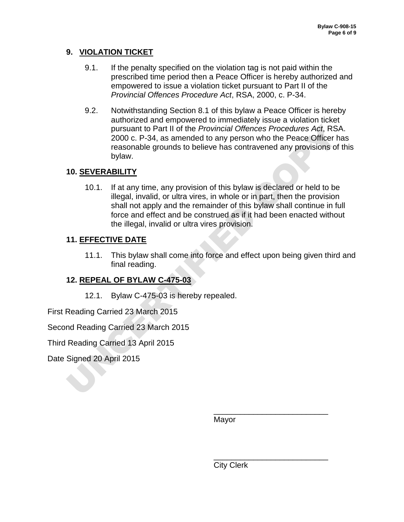## **9. VIOLATION TICKET**

- 9.1. If the penalty specified on the violation tag is not paid within the prescribed time period then a Peace Officer is hereby authorized and empowered to issue a violation ticket pursuant to Part II of the *Provincial Offences Procedure Act*, RSA, 2000, c. P-34.
- 9.2. Notwithstanding Section 8.1 of this bylaw a Peace Officer is hereby authorized and empowered to immediately issue a violation ticket pursuant to Part II of the *Provincial Offences Procedures Act*, RSA. 2000 c. P-34, as amended to any person who the Peace Officer has reasonable grounds to believe has contravened any provisions of this bylaw.

# **10. SEVERABILITY**

pursuant to Part II of the *Provincial Offences Procedures Act*, RSA.<br>
2000 c. P-34, as anended to any person who the Peace Officer ha:<br>
teaseable grounds to believe has contravened any provisions of the<br>
bylaw.<br>
10. <u>SEVE</u> 10.1. If at any time, any provision of this bylaw is declared or held to be illegal, invalid, or ultra vires, in whole or in part, then the provision shall not apply and the remainder of this bylaw shall continue in full force and effect and be construed as if it had been enacted without the illegal, invalid or ultra vires provision.

# **11. EFFECTIVE DATE**

11.1. This bylaw shall come into force and effect upon being given third and final reading.

# **12. REPEAL OF BYLAW C-475-03**

12.1. Bylaw C-475-03 is hereby repealed.

First Reading Carried 23 March 2015

Second Reading Carried 23 March 2015

Third Reading Carried 13 April 2015

Date Signed 20 April 2015

Mayor

 $\overline{\phantom{a}}$  , and the contract of the contract of the contract of the contract of the contract of the contract of the contract of the contract of the contract of the contract of the contract of the contract of the contrac

 $\overline{\phantom{a}}$  , and the contract of the contract of the contract of the contract of the contract of the contract of the contract of the contract of the contract of the contract of the contract of the contract of the contrac

City Clerk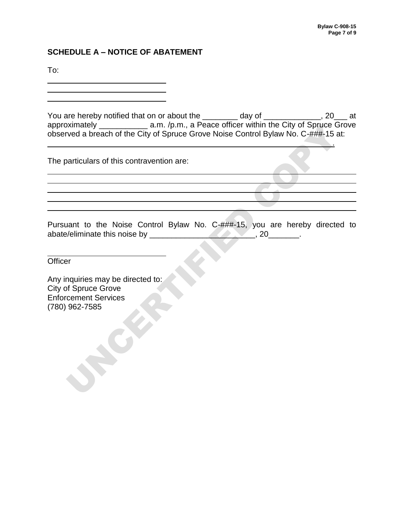### **SCHEDULE A – NOTICE OF ABATEMENT**

To:

l

 $\overline{a}$ 

 $\overline{a}$ 

 $\overline{a}$ 

You are hereby notified that on or about the \_\_\_\_\_\_\_\_ day of \_\_\_\_\_\_\_\_\_\_\_, 20\_\_\_ at approximately \_\_\_\_\_\_\_\_\_\_\_\_\_\_\_ a.m. /p.m., a Peace officer within the City of Spruce Grove observed a breach of the City of Spruce Grove Noise Control Bylaw No. C-###-15 at:

<u>. Andreas and the second contract of the second contract of the second contract of the second contract of the second</u>

The particulars of this contravention are:

SIMIDATED a.m., p.m., a Peace officer within the City of Spruce Grower Noise Control Bylaw No. C-###-15 at<br>verd a breach of the City of Spruce Grove Noise Control Bylaw No. C-###-15 at<br>anticulars of this contravention are: Pursuant to the Noise Control Bylaw No. C-###-15, you are hereby directed to abate/eliminate this noise by \_\_\_\_\_\_\_\_\_\_\_\_\_\_\_\_\_\_\_\_\_\_\_, 20\_\_\_\_\_\_\_.

**Officer** 

Any inquiries may be directed to: City of Spruce Grove Enforcement Services (780) 962-7585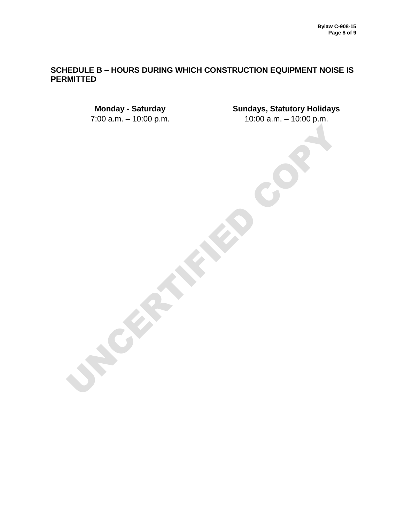#### **SCHEDULE B – HOURS DURING WHICH CONSTRUCTION EQUIPMENT NOISE IS PERMITTED**

7:00 a.m. – 10:00 p.m. 10:00 a.m. – 10:00 p.m.

UNCERTIFIED COPY

**Monday - Saturday Sundays, Statutory Holidays**